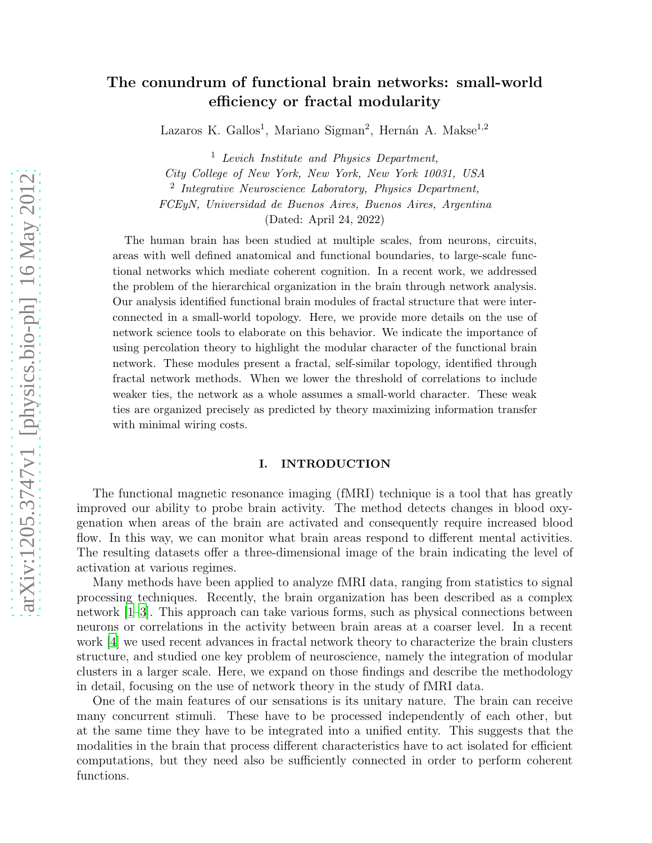# The conundrum of functional brain networks: small-world efficiency or fractal modularity

Lazaros K. Gallos<sup>1</sup>, Mariano Sigman<sup>2</sup>, Hernán A. Makse<sup>1,2</sup>

<sup>1</sup> *Levich Institute and Physics Department, City College of New York, New York, New York 10031, USA* 2 *Integrative Neuroscience Laboratory, Physics Department, FCEyN, Universidad de Buenos Aires, Buenos Aires, Argentina* (Dated: April 24, 2022)

The human brain has been studied at multiple scales, from neurons, circuits, areas with well defined anatomical and functional boundaries, to large-scale functional networks which mediate coherent cognition. In a recent work, we addressed the problem of the hierarchical organization in the brain through network analysis. Our analysis identified functional brain modules of fractal structure that were interconnected in a small-world topology. Here, we provide more details on the use of network science tools to elaborate on this behavior. We indicate the importance of using percolation theory to highlight the modular character of the functional brain network. These modules present a fractal, self-similar topology, identified through fractal network methods. When we lower the threshold of correlations to include weaker ties, the network as a whole assumes a small-world character. These weak ties are organized precisely as predicted by theory maximizing information transfer with minimal wiring costs.

## I. INTRODUCTION

The functional magnetic resonance imaging (fMRI) technique is a tool that has greatly improved our ability to probe brain activity. The method detects changes in blood oxygenation when areas of the brain are activated and consequently require increased blood flow. In this way, we can monitor what brain areas respond to different mental activities. The resulting datasets offer a three-dimensional image of the brain indicating the level of activation at various regimes.

Many methods have been applied to analyze fMRI data, ranging from statistics to signal processing techniques. Recently, the brain organization has been described as a complex network [\[1](#page-12-0)[–3](#page-12-1)]. This approach can take various forms, such as physical connections between neurons or correlations in the activity between brain areas at a coarser level. In a recent work [\[4](#page-13-0)] we used recent advances in fractal network theory to characterize the brain clusters structure, and studied one key problem of neuroscience, namely the integration of modular clusters in a larger scale. Here, we expand on those findings and describe the methodology in detail, focusing on the use of network theory in the study of fMRI data.

One of the main features of our sensations is its unitary nature. The brain can receive many concurrent stimuli. These have to be processed independently of each other, but at the same time they have to be integrated into a unified entity. This suggests that the modalities in the brain that process different characteristics have to act isolated for efficient computations, but they need also be sufficiently connected in order to perform coherent functions.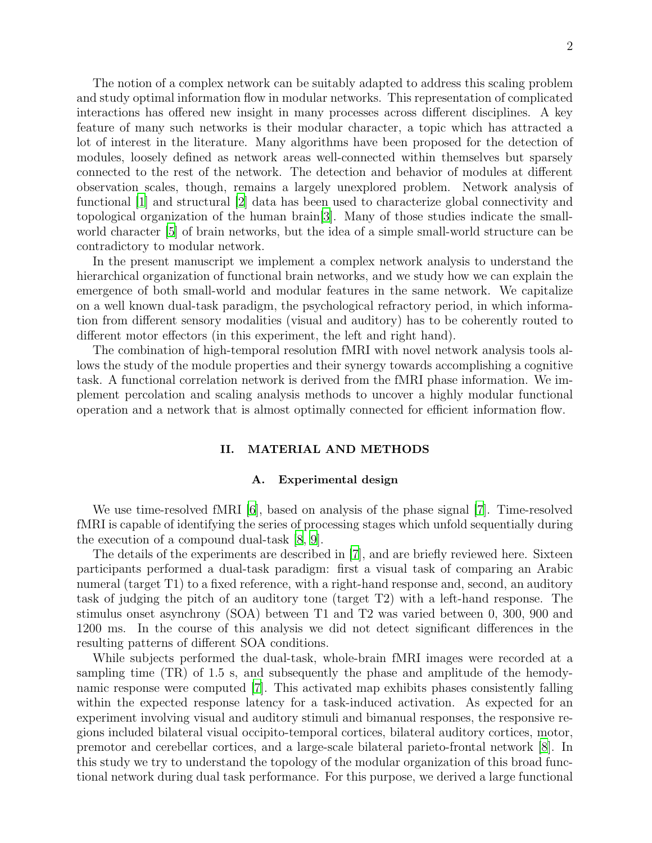The notion of a complex network can be suitably adapted to address this scaling problem and study optimal information flow in modular networks. This representation of complicated interactions has offered new insight in many processes across different disciplines. A key feature of many such networks is their modular character, a topic which has attracted a lot of interest in the literature. Many algorithms have been proposed for the detection of modules, loosely defined as network areas well-connected within themselves but sparsely connected to the rest of the network. The detection and behavior of modules at different observation scales, though, remains a largely unexplored problem. Network analysis of functional [\[1](#page-12-0)] and structural [\[2\]](#page-12-2) data has been used to characterize global connectivity and topological organization of the human brain[\[3\]](#page-12-1). Many of those studies indicate the smallworld character [\[5](#page-13-1)] of brain networks, but the idea of a simple small-world structure can be contradictory to modular network.

In the present manuscript we implement a complex network analysis to understand the hierarchical organization of functional brain networks, and we study how we can explain the emergence of both small-world and modular features in the same network. We capitalize on a well known dual-task paradigm, the psychological refractory period, in which information from different sensory modalities (visual and auditory) has to be coherently routed to different motor effectors (in this experiment, the left and right hand).

The combination of high-temporal resolution fMRI with novel network analysis tools allows the study of the module properties and their synergy towards accomplishing a cognitive task. A functional correlation network is derived from the fMRI phase information. We implement percolation and scaling analysis methods to uncover a highly modular functional operation and a network that is almost optimally connected for efficient information flow.

## II. MATERIAL AND METHODS

### A. Experimental design

We use time-resolved fMRI [\[6](#page-13-2)], based on analysis of the phase signal [\[7](#page-13-3)]. Time-resolved fMRI is capable of identifying the series of processing stages which unfold sequentially during the execution of a compound dual-task [\[8,](#page-13-4) [9\]](#page-13-5).

The details of the experiments are described in [\[7\]](#page-13-3), and are briefly reviewed here. Sixteen participants performed a dual-task paradigm: first a visual task of comparing an Arabic numeral (target T1) to a fixed reference, with a right-hand response and, second, an auditory task of judging the pitch of an auditory tone (target T2) with a left-hand response. The stimulus onset asynchrony (SOA) between T1 and T2 was varied between 0, 300, 900 and 1200 ms. In the course of this analysis we did not detect significant differences in the resulting patterns of different SOA conditions.

While subjects performed the dual-task, whole-brain fMRI images were recorded at a sampling time (TR) of 1.5 s, and subsequently the phase and amplitude of the hemodynamic response were computed [\[7\]](#page-13-3). This activated map exhibits phases consistently falling within the expected response latency for a task-induced activation. As expected for an experiment involving visual and auditory stimuli and bimanual responses, the responsive regions included bilateral visual occipito-temporal cortices, bilateral auditory cortices, motor, premotor and cerebellar cortices, and a large-scale bilateral parieto-frontal network [\[8\]](#page-13-4). In this study we try to understand the topology of the modular organization of this broad functional network during dual task performance. For this purpose, we derived a large functional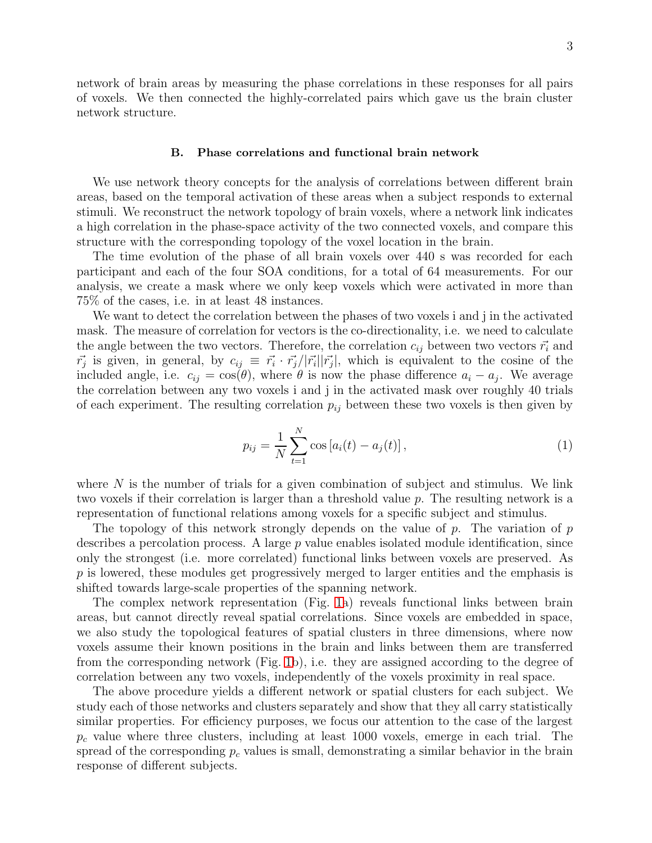network of brain areas by measuring the phase correlations in these responses for all pairs of voxels. We then connected the highly-correlated pairs which gave us the brain cluster network structure.

# B. Phase correlations and functional brain network

We use network theory concepts for the analysis of correlations between different brain areas, based on the temporal activation of these areas when a subject responds to external stimuli. We reconstruct the network topology of brain voxels, where a network link indicates a high correlation in the phase-space activity of the two connected voxels, and compare this structure with the corresponding topology of the voxel location in the brain.

The time evolution of the phase of all brain voxels over 440 s was recorded for each participant and each of the four SOA conditions, for a total of 64 measurements. For our analysis, we create a mask where we only keep voxels which were activated in more than 75% of the cases, i.e. in at least 48 instances.

We want to detect the correlation between the phases of two voxels i and j in the activated mask. The measure of correlation for vectors is the co-directionality, i.e. we need to calculate the angle between the two vectors. Therefore, the correlation  $c_{ij}$  between two vectors  $\vec{r}_i$  and  $\vec{r}_j$  is given, in general, by  $c_{ij} \equiv \vec{r}_i \cdot \vec{r}_j/|\vec{r}_i||\vec{r}_j|$ , which is equivalent to the cosine of the included angle, i.e.  $c_{ij} = \cos(\theta)$ , where  $\theta$  is now the phase difference  $a_i - a_j$ . We average the correlation between any two voxels i and j in the activated mask over roughly 40 trials of each experiment. The resulting correlation  $p_{ij}$  between these two voxels is then given by

$$
p_{ij} = \frac{1}{N} \sum_{t=1}^{N} \cos \left[ a_i(t) - a_j(t) \right],
$$
\n(1)

where  $N$  is the number of trials for a given combination of subject and stimulus. We link two voxels if their correlation is larger than a threshold value p. The resulting network is a representation of functional relations among voxels for a specific subject and stimulus.

The topology of this network strongly depends on the value of  $p$ . The variation of  $p$ describes a percolation process. A large  $p$  value enables isolated module identification, since only the strongest (i.e. more correlated) functional links between voxels are preserved. As p is lowered, these modules get progressively merged to larger entities and the emphasis is shifted towards large-scale properties of the spanning network.

The complex network representation (Fig. [1a](#page-3-0)) reveals functional links between brain areas, but cannot directly reveal spatial correlations. Since voxels are embedded in space, we also study the topological features of spatial clusters in three dimensions, where now voxels assume their known positions in the brain and links between them are transferred from the corresponding network (Fig. [1b](#page-3-0)), i.e. they are assigned according to the degree of correlation between any two voxels, independently of the voxels proximity in real space.

The above procedure yields a different network or spatial clusters for each subject. We study each of those networks and clusters separately and show that they all carry statistically similar properties. For efficiency purposes, we focus our attention to the case of the largest  $p_c$  value where three clusters, including at least 1000 voxels, emerge in each trial. The spread of the corresponding  $p_c$  values is small, demonstrating a similar behavior in the brain response of different subjects.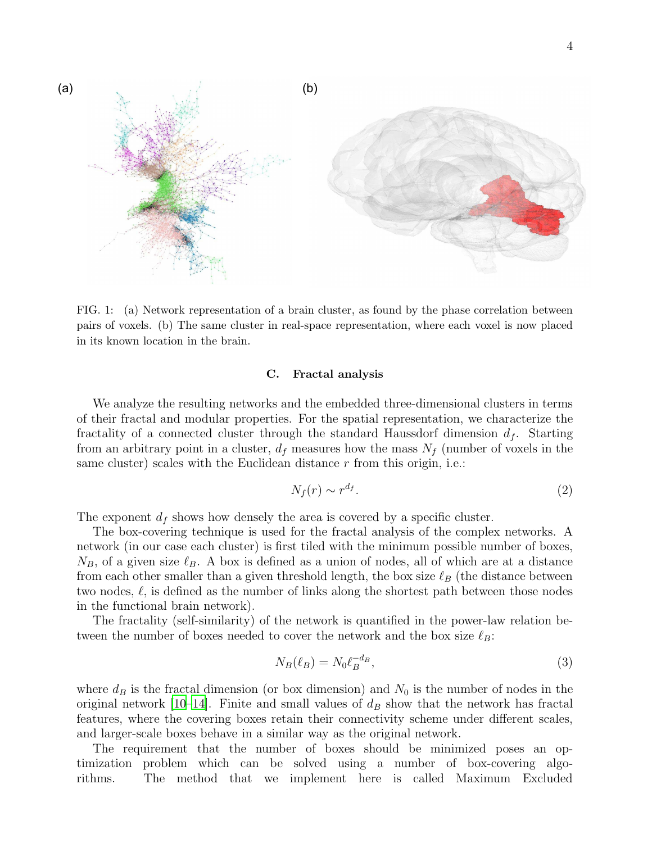

<span id="page-3-0"></span>FIG. 1: (a) Network representation of a brain cluster, as found by the phase correlation between pairs of voxels. (b) The same cluster in real-space representation, where each voxel is now placed in its known location in the brain.

# C. Fractal analysis

We analyze the resulting networks and the embedded three-dimensional clusters in terms of their fractal and modular properties. For the spatial representation, we characterize the fractality of a connected cluster through the standard Haussdorf dimension  $d_f$ . Starting from an arbitrary point in a cluster,  $d_f$  measures how the mass  $N_f$  (number of voxels in the same cluster) scales with the Euclidean distance  $r$  from this origin, i.e.:

<span id="page-3-1"></span>
$$
N_f(r) \sim r^{d_f}.\tag{2}
$$

The exponent  $d_f$  shows how densely the area is covered by a specific cluster.

The box-covering technique is used for the fractal analysis of the complex networks. A network (in our case each cluster) is first tiled with the minimum possible number of boxes,  $N_B$ , of a given size  $\ell_B$ . A box is defined as a union of nodes, all of which are at a distance from each other smaller than a given threshold length, the box size  $\ell_B$  (the distance between two nodes,  $\ell$ , is defined as the number of links along the shortest path between those nodes in the functional brain network).

The fractality (self-similarity) of the network is quantified in the power-law relation between the number of boxes needed to cover the network and the box size  $\ell_B$ :

$$
N_B(\ell_B) = N_0 \ell_B^{-d_B},\tag{3}
$$

where  $d_B$  is the fractal dimension (or box dimension) and  $N_0$  is the number of nodes in the original network [\[10](#page-13-6)[–14\]](#page-13-7). Finite and small values of  $d<sub>B</sub>$  show that the network has fractal features, where the covering boxes retain their connectivity scheme under different scales, and larger-scale boxes behave in a similar way as the original network.

The requirement that the number of boxes should be minimized poses an optimization problem which can be solved using a number of box-covering algorithms. The method that we implement here is called Maximum Excluded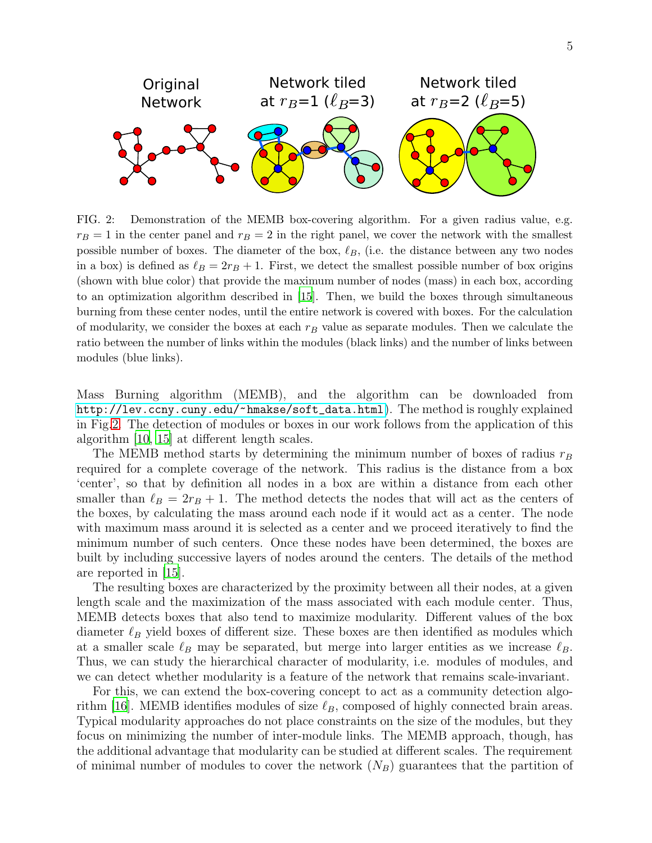

<span id="page-4-0"></span>FIG. 2: Demonstration of the MEMB box-covering algorithm. For a given radius value, e.g.  $r_B = 1$  in the center panel and  $r_B = 2$  in the right panel, we cover the network with the smallest possible number of boxes. The diameter of the box,  $\ell_B$ , (i.e. the distance between any two nodes in a box) is defined as  $\ell_B = 2r_B + 1$ . First, we detect the smallest possible number of box origins (shown with blue color) that provide the maximum number of nodes (mass) in each box, according to an optimization algorithm described in [\[15](#page-13-8)]. Then, we build the boxes through simultaneous burning from these center nodes, until the entire network is covered with boxes. For the calculation of modularity, we consider the boxes at each  $r_B$  value as separate modules. Then we calculate the ratio between the number of links within the modules (black links) and the number of links between modules (blue links).

Mass Burning algorithm (MEMB), and the algorithm can be downloaded from [http://lev.ccny.cuny.edu/~hmakse/soft\\_data.html](http://lev.ccny.cuny.edu/~hmakse/soft_data.html)). The method is roughly explained in Fig[.2.](#page-4-0) The detection of modules or boxes in our work follows from the application of this algorithm [\[10](#page-13-6), [15](#page-13-8)] at different length scales.

The MEMB method starts by determining the minimum number of boxes of radius  $r_B$ required for a complete coverage of the network. This radius is the distance from a box 'center', so that by definition all nodes in a box are within a distance from each other smaller than  $\ell_B = 2r_B + 1$ . The method detects the nodes that will act as the centers of the boxes, by calculating the mass around each node if it would act as a center. The node with maximum mass around it is selected as a center and we proceed iteratively to find the minimum number of such centers. Once these nodes have been determined, the boxes are built by including successive layers of nodes around the centers. The details of the method are reported in [\[15](#page-13-8)].

The resulting boxes are characterized by the proximity between all their nodes, at a given length scale and the maximization of the mass associated with each module center. Thus, MEMB detects boxes that also tend to maximize modularity. Different values of the box diameter  $\ell_B$  yield boxes of different size. These boxes are then identified as modules which at a smaller scale  $\ell_B$  may be separated, but merge into larger entities as we increase  $\ell_B$ . Thus, we can study the hierarchical character of modularity, i.e. modules of modules, and we can detect whether modularity is a feature of the network that remains scale-invariant.

For this, we can extend the box-covering concept to act as a community detection algo-rithm [\[16](#page-13-9)]. MEMB identifies modules of size  $\ell_B$ , composed of highly connected brain areas. Typical modularity approaches do not place constraints on the size of the modules, but they focus on minimizing the number of inter-module links. The MEMB approach, though, has the additional advantage that modularity can be studied at different scales. The requirement of minimal number of modules to cover the network  $(N_B)$  guarantees that the partition of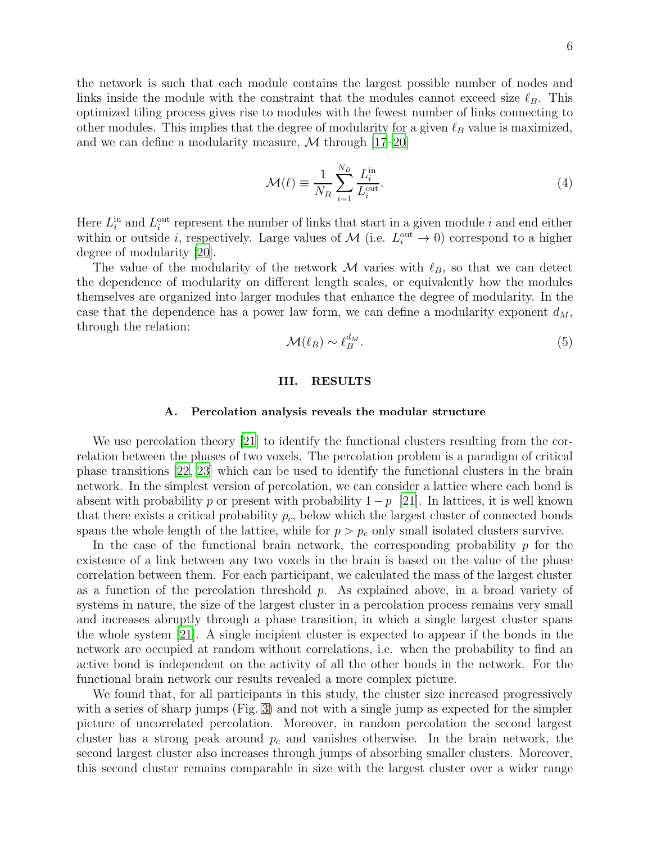the network is such that each module contains the largest possible number of nodes and links inside the module with the constraint that the modules cannot exceed size  $\ell_B$ . This optimized tiling process gives rise to modules with the fewest number of links connecting to other modules. This implies that the degree of modularity for a given  $\ell_B$  value is maximized, and we can define a modularity measure,  $\mathcal{M}$  through [\[17](#page-13-10)[–20](#page-13-11)]

<span id="page-5-0"></span>
$$
\mathcal{M}(\ell) \equiv \frac{1}{N_B} \sum_{i=1}^{N_B} \frac{L_i^{\text{in}}}{L_i^{\text{out}}}.
$$
\n(4)

Here  $L_i^{\text{in}}$  and  $L_i^{\text{out}}$ <sup>out</sup> represent the number of links that start in a given module  $i$  and end either within or outside i, respectively. Large values of M (i.e.  $L_i^{\text{out}} \to 0$ ) correspond to a higher degree of modularity [\[20\]](#page-13-11).

The value of the modularity of the network M varies with  $\ell_B$ , so that we can detect the dependence of modularity on different length scales, or equivalently how the modules themselves are organized into larger modules that enhance the degree of modularity. In the case that the dependence has a power law form, we can define a modularity exponent  $d_M$ , through the relation:

<span id="page-5-1"></span>
$$
\mathcal{M}(\ell_B) \sim \ell_B^{d_M}.\tag{5}
$$

## III. RESULTS

#### A. Percolation analysis reveals the modular structure

We use percolation theory [\[21](#page-13-12)] to identify the functional clusters resulting from the correlation between the phases of two voxels. The percolation problem is a paradigm of critical phase transitions [\[22,](#page-13-13) [23\]](#page-13-14) which can be used to identify the functional clusters in the brain network. In the simplest version of percolation, we can consider a lattice where each bond is absent with probability p or present with probability  $1-p$  [\[21](#page-13-12)]. In lattices, it is well known that there exists a critical probability  $p_c$ , below which the largest cluster of connected bonds spans the whole length of the lattice, while for  $p > p_c$  only small isolated clusters survive.

In the case of the functional brain network, the corresponding probability  $p$  for the existence of a link between any two voxels in the brain is based on the value of the phase correlation between them. For each participant, we calculated the mass of the largest cluster as a function of the percolation threshold  $p$ . As explained above, in a broad variety of systems in nature, the size of the largest cluster in a percolation process remains very small and increases abruptly through a phase transition, in which a single largest cluster spans the whole system [\[21](#page-13-12)]. A single incipient cluster is expected to appear if the bonds in the network are occupied at random without correlations, i.e. when the probability to find an active bond is independent on the activity of all the other bonds in the network. For the functional brain network our results revealed a more complex picture.

We found that, for all participants in this study, the cluster size increased progressively with a series of sharp jumps (Fig. [3\)](#page-6-0) and not with a single jump as expected for the simpler picture of uncorrelated percolation. Moreover, in random percolation the second largest cluster has a strong peak around  $p_c$  and vanishes otherwise. In the brain network, the second largest cluster also increases through jumps of absorbing smaller clusters. Moreover, this second cluster remains comparable in size with the largest cluster over a wider range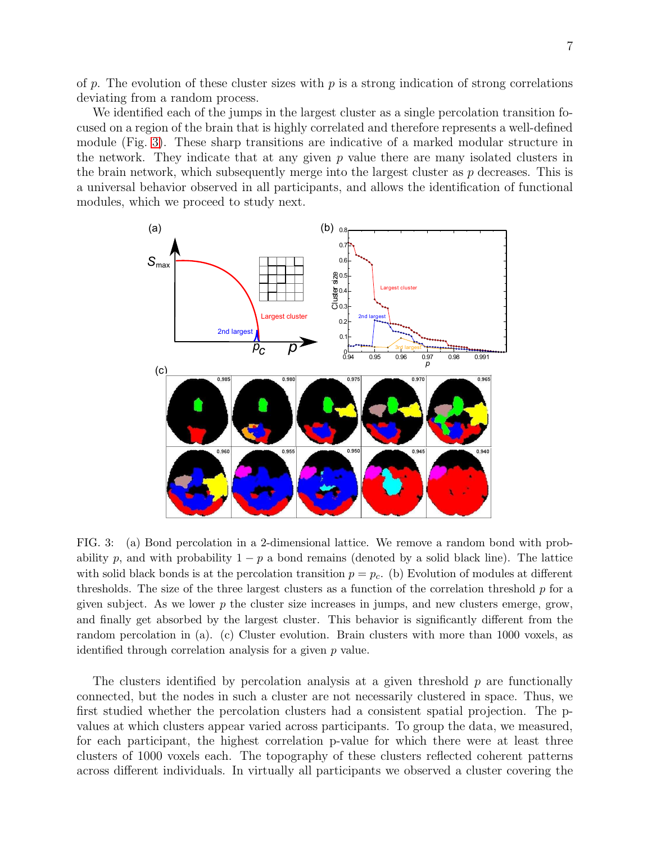of p. The evolution of these cluster sizes with p is a strong indication of strong correlations deviating from a random process.

We identified each of the jumps in the largest cluster as a single percolation transition focused on a region of the brain that is highly correlated and therefore represents a well-defined module (Fig. [3\)](#page-6-0). These sharp transitions are indicative of a marked modular structure in the network. They indicate that at any given  $p$  value there are many isolated clusters in the brain network, which subsequently merge into the largest cluster as  $p$  decreases. This is a universal behavior observed in all participants, and allows the identification of functional modules, which we proceed to study next.



<span id="page-6-0"></span>FIG. 3: (a) Bond percolation in a 2-dimensional lattice. We remove a random bond with probability p, and with probability  $1 - p$  a bond remains (denoted by a solid black line). The lattice with solid black bonds is at the percolation transition  $p = p_c$ . (b) Evolution of modules at different thresholds. The size of the three largest clusters as a function of the correlation threshold  $p$  for a given subject. As we lower  $p$  the cluster size increases in jumps, and new clusters emerge, grow, and finally get absorbed by the largest cluster. This behavior is significantly different from the random percolation in (a). (c) Cluster evolution. Brain clusters with more than 1000 voxels, as identified through correlation analysis for a given  $p$  value.

The clusters identified by percolation analysis at a given threshold  $p$  are functionally connected, but the nodes in such a cluster are not necessarily clustered in space. Thus, we first studied whether the percolation clusters had a consistent spatial projection. The pvalues at which clusters appear varied across participants. To group the data, we measured, for each participant, the highest correlation p-value for which there were at least three clusters of 1000 voxels each. The topography of these clusters reflected coherent patterns across different individuals. In virtually all participants we observed a cluster covering the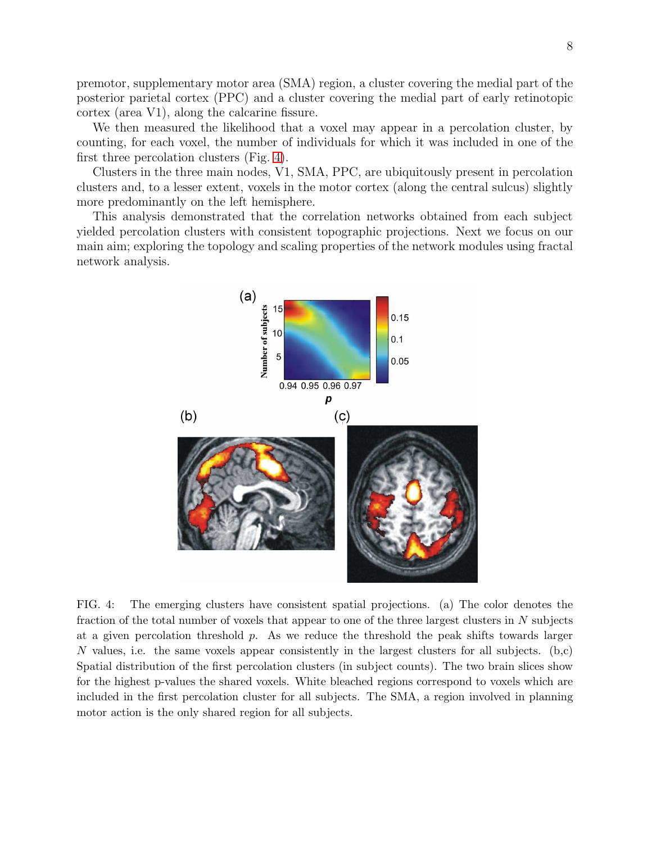premotor, supplementary motor area (SMA) region, a cluster covering the medial part of the posterior parietal cortex (PPC) and a cluster covering the medial part of early retinotopic cortex (area V1), along the calcarine fissure.

We then measured the likelihood that a voxel may appear in a percolation cluster, by counting, for each voxel, the number of individuals for which it was included in one of the first three percolation clusters (Fig. [4\)](#page-7-0).

Clusters in the three main nodes, V1, SMA, PPC, are ubiquitously present in percolation clusters and, to a lesser extent, voxels in the motor cortex (along the central sulcus) slightly more predominantly on the left hemisphere.

This analysis demonstrated that the correlation networks obtained from each subject yielded percolation clusters with consistent topographic projections. Next we focus on our main aim; exploring the topology and scaling properties of the network modules using fractal network analysis.



<span id="page-7-0"></span>FIG. 4: The emerging clusters have consistent spatial projections. (a) The color denotes the fraction of the total number of voxels that appear to one of the three largest clusters in  $N$  subjects at a given percolation threshold p. As we reduce the threshold the peak shifts towards larger N values, i.e. the same voxels appear consistently in the largest clusters for all subjects.  $(b,c)$ Spatial distribution of the first percolation clusters (in subject counts). The two brain slices show for the highest p-values the shared voxels. White bleached regions correspond to voxels which are included in the first percolation cluster for all subjects. The SMA, a region involved in planning motor action is the only shared region for all subjects.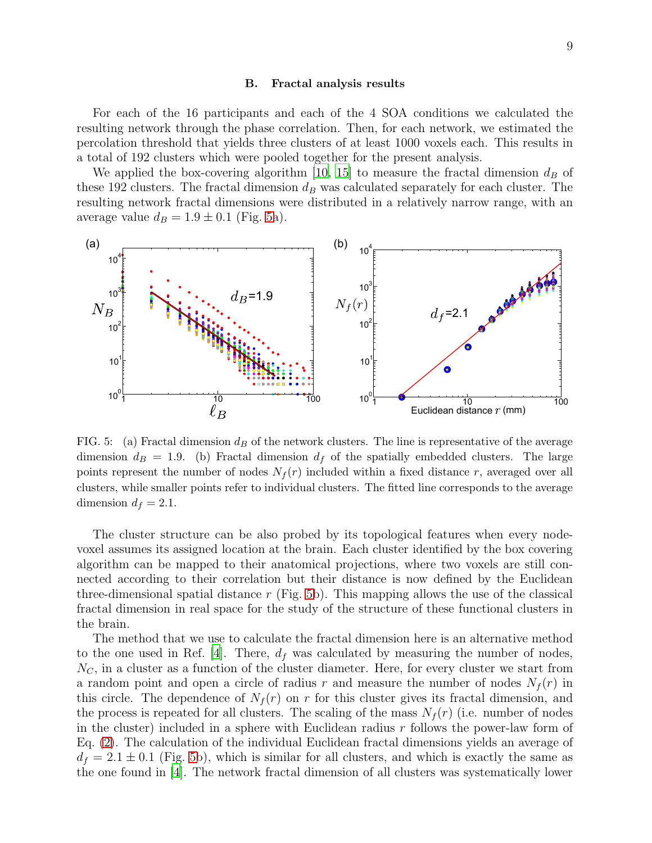#### B. Fractal analysis results

For each of the 16 participants and each of the 4 SOA conditions we calculated the resulting network through the phase correlation. Then, for each network, we estimated the percolation threshold that yields three clusters of at least 1000 voxels each. This results in a total of 192 clusters which were pooled together for the present analysis.

We applied the box-covering algorithm [\[10](#page-13-6), [15\]](#page-13-8) to measure the fractal dimension  $d_B$  of these 192 clusters. The fractal dimension  $d_B$  was calculated separately for each cluster. The resulting network fractal dimensions were distributed in a relatively narrow range, with an average value  $d_B = 1.9 \pm 0.1$  (Fig. [5a](#page-8-0)).



<span id="page-8-0"></span>FIG. 5: (a) Fractal dimension  $d<sub>B</sub>$  of the network clusters. The line is representative of the average dimension  $d_B = 1.9$ . (b) Fractal dimension  $d_f$  of the spatially embedded clusters. The large points represent the number of nodes  $N_f(r)$  included within a fixed distance r, averaged over all clusters, while smaller points refer to individual clusters. The fitted line corresponds to the average dimension  $d_f = 2.1$ .

The cluster structure can be also probed by its topological features when every nodevoxel assumes its assigned location at the brain. Each cluster identified by the box covering algorithm can be mapped to their anatomical projections, where two voxels are still connected according to their correlation but their distance is now defined by the Euclidean three-dimensional spatial distance  $r$  (Fig. [5b](#page-8-0)). This mapping allows the use of the classical fractal dimension in real space for the study of the structure of these functional clusters in the brain.

The method that we use to calculate the fractal dimension here is an alternative method to the one used in Ref. [\[4\]](#page-13-0). There,  $d_f$  was calculated by measuring the number of nodes,  $N<sub>C</sub>$ , in a cluster as a function of the cluster diameter. Here, for every cluster we start from a random point and open a circle of radius r and measure the number of nodes  $N_f(r)$  in this circle. The dependence of  $N_f(r)$  on r for this cluster gives its fractal dimension, and the process is repeated for all clusters. The scaling of the mass  $N_f(r)$  (i.e. number of nodes in the cluster) included in a sphere with Euclidean radius  $r$  follows the power-law form of Eq. [\(2\)](#page-3-1). The calculation of the individual Euclidean fractal dimensions yields an average of  $d_f = 2.1 \pm 0.1$  (Fig. [5b](#page-8-0)), which is similar for all clusters, and which is exactly the same as the one found in [\[4\]](#page-13-0). The network fractal dimension of all clusters was systematically lower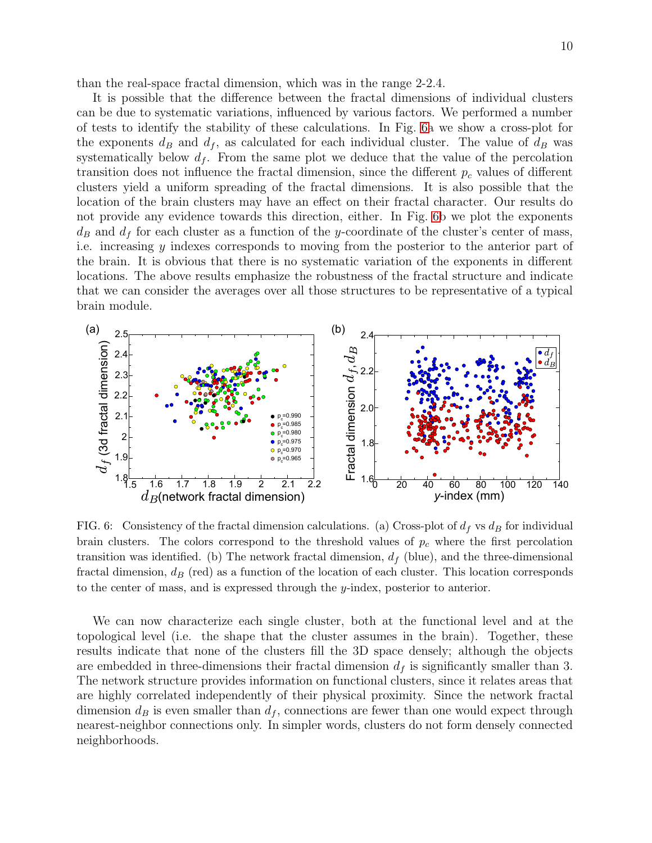than the real-space fractal dimension, which was in the range 2-2.4.

It is possible that the difference between the fractal dimensions of individual clusters can be due to systematic variations, influenced by various factors. We performed a number of tests to identify the stability of these calculations. In Fig. [6a](#page-9-0) we show a cross-plot for the exponents  $d_B$  and  $d_f$ , as calculated for each individual cluster. The value of  $d_B$  was systematically below  $d_f$ . From the same plot we deduce that the value of the percolation transition does not influence the fractal dimension, since the different  $p_c$  values of different clusters yield a uniform spreading of the fractal dimensions. It is also possible that the location of the brain clusters may have an effect on their fractal character. Our results do not provide any evidence towards this direction, either. In Fig. [6b](#page-9-0) we plot the exponents  $d_B$  and  $d_f$  for each cluster as a function of the y-coordinate of the cluster's center of mass, i.e. increasing y indexes corresponds to moving from the posterior to the anterior part of the brain. It is obvious that there is no systematic variation of the exponents in different locations. The above results emphasize the robustness of the fractal structure and indicate that we can consider the averages over all those structures to be representative of a typical brain module.



<span id="page-9-0"></span>FIG. 6: Consistency of the fractal dimension calculations. (a) Cross-plot of  $d_f$  vs  $d_B$  for individual brain clusters. The colors correspond to the threshold values of  $p_c$  where the first percolation transition was identified. (b) The network fractal dimension,  $d_f$  (blue), and the three-dimensional fractal dimension,  $d_B$  (red) as a function of the location of each cluster. This location corresponds to the center of mass, and is expressed through the y-index, posterior to anterior.

We can now characterize each single cluster, both at the functional level and at the topological level (i.e. the shape that the cluster assumes in the brain). Together, these results indicate that none of the clusters fill the 3D space densely; although the objects are embedded in three-dimensions their fractal dimension  $d_f$  is significantly smaller than 3. The network structure provides information on functional clusters, since it relates areas that are highly correlated independently of their physical proximity. Since the network fractal dimension  $d_B$  is even smaller than  $d_f$ , connections are fewer than one would expect through nearest-neighbor connections only. In simpler words, clusters do not form densely connected neighborhoods.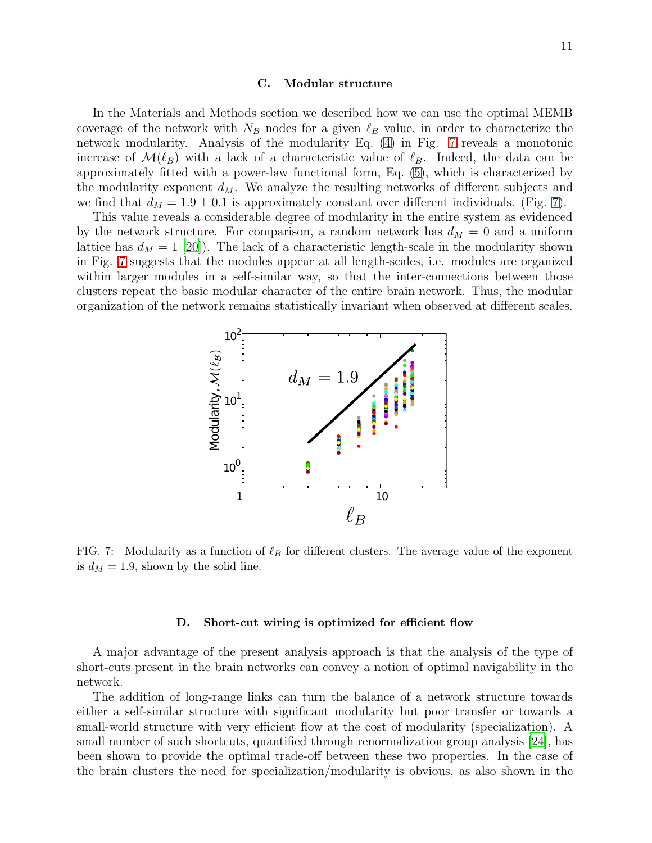#### C. Modular structure

In the Materials and Methods section we described how we can use the optimal MEMB coverage of the network with  $N_B$  nodes for a given  $\ell_B$  value, in order to characterize the network modularity. Analysis of the modularity Eq. [\(4\)](#page-5-0) in Fig. [7](#page-10-0) reveals a monotonic increase of  $\mathcal{M}(\ell_B)$  with a lack of a characteristic value of  $\ell_B$ . Indeed, the data can be approximately fitted with a power-law functional form, Eq. [\(5\)](#page-5-1), which is characterized by the modularity exponent  $d_M$ . We analyze the resulting networks of different subjects and we find that  $d_M = 1.9 \pm 0.1$  is approximately constant over different individuals. (Fig. [7\)](#page-10-0).

This value reveals a considerable degree of modularity in the entire system as evidenced by the network structure. For comparison, a random network has  $d_M = 0$  and a uniform lattice has  $d_M = 1$  [\[20](#page-13-11)]). The lack of a characteristic length-scale in the modularity shown in Fig. [7](#page-10-0) suggests that the modules appear at all length-scales, i.e. modules are organized within larger modules in a self-similar way, so that the inter-connections between those clusters repeat the basic modular character of the entire brain network. Thus, the modular organization of the network remains statistically invariant when observed at different scales.



<span id="page-10-0"></span>FIG. 7: Modularity as a function of  $\ell_B$  for different clusters. The average value of the exponent is  $d_M = 1.9$ , shown by the solid line.

## D. Short-cut wiring is optimized for efficient flow

A major advantage of the present analysis approach is that the analysis of the type of short-cuts present in the brain networks can convey a notion of optimal navigability in the network.

The addition of long-range links can turn the balance of a network structure towards either a self-similar structure with significant modularity but poor transfer or towards a small-world structure with very efficient flow at the cost of modularity (specialization). A small number of such shortcuts, quantified through renormalization group analysis [\[24](#page-13-15)], has been shown to provide the optimal trade-off between these two properties. In the case of the brain clusters the need for specialization/modularity is obvious, as also shown in the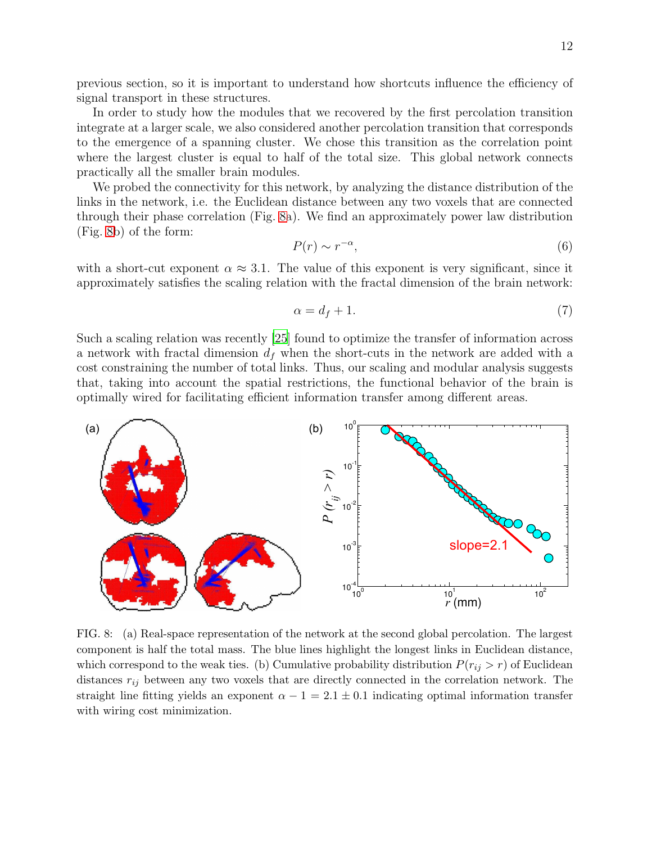previous section, so it is important to understand how shortcuts influence the efficiency of signal transport in these structures.

In order to study how the modules that we recovered by the first percolation transition integrate at a larger scale, we also considered another percolation transition that corresponds to the emergence of a spanning cluster. We chose this transition as the correlation point where the largest cluster is equal to half of the total size. This global network connects practically all the smaller brain modules.

We probed the connectivity for this network, by analyzing the distance distribution of the links in the network, i.e. the Euclidean distance between any two voxels that are connected through their phase correlation (Fig. [8a](#page-11-0)). We find an approximately power law distribution (Fig. [8b](#page-11-0)) of the form:

$$
P(r) \sim r^{-\alpha},\tag{6}
$$

with a short-cut exponent  $\alpha \approx 3.1$ . The value of this exponent is very significant, since it approximately satisfies the scaling relation with the fractal dimension of the brain network:

$$
\alpha = d_f + 1. \tag{7}
$$

Such a scaling relation was recently [\[25\]](#page-13-16) found to optimize the transfer of information across a network with fractal dimension  $d_f$  when the short-cuts in the network are added with a cost constraining the number of total links. Thus, our scaling and modular analysis suggests that, taking into account the spatial restrictions, the functional behavior of the brain is optimally wired for facilitating efficient information transfer among different areas.



<span id="page-11-0"></span>FIG. 8: (a) Real-space representation of the network at the second global percolation. The largest component is half the total mass. The blue lines highlight the longest links in Euclidean distance, which correspond to the weak ties. (b) Cumulative probability distribution  $P(r_{ij} > r)$  of Euclidean distances  $r_{ij}$  between any two voxels that are directly connected in the correlation network. The straight line fitting yields an exponent  $\alpha - 1 = 2.1 \pm 0.1$  indicating optimal information transfer with wiring cost minimization.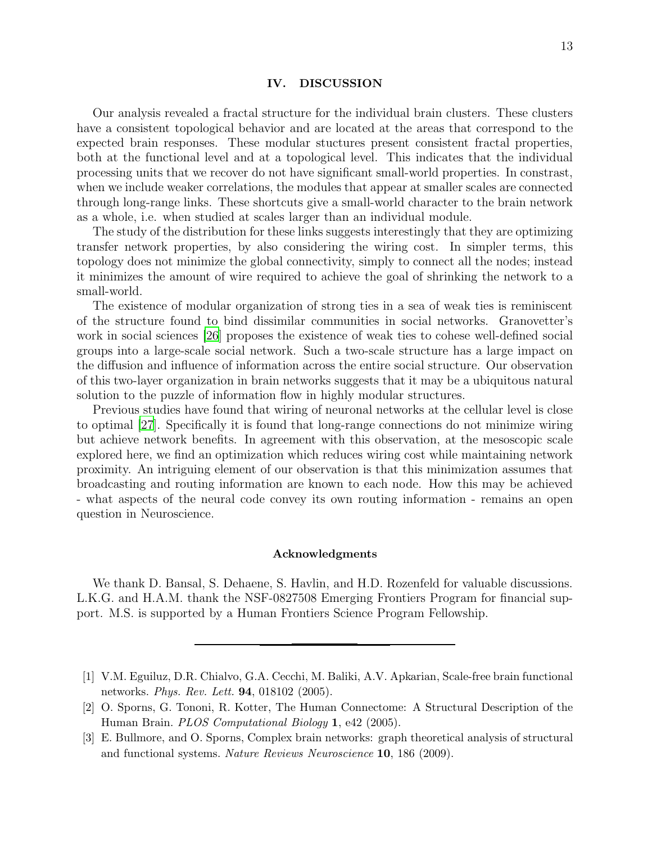#### IV. DISCUSSION

Our analysis revealed a fractal structure for the individual brain clusters. These clusters have a consistent topological behavior and are located at the areas that correspond to the expected brain responses. These modular stuctures present consistent fractal properties, both at the functional level and at a topological level. This indicates that the individual processing units that we recover do not have significant small-world properties. In constrast, when we include weaker correlations, the modules that appear at smaller scales are connected through long-range links. These shortcuts give a small-world character to the brain network as a whole, i.e. when studied at scales larger than an individual module.

The study of the distribution for these links suggests interestingly that they are optimizing transfer network properties, by also considering the wiring cost. In simpler terms, this topology does not minimize the global connectivity, simply to connect all the nodes; instead it minimizes the amount of wire required to achieve the goal of shrinking the network to a small-world.

The existence of modular organization of strong ties in a sea of weak ties is reminiscent of the structure found to bind dissimilar communities in social networks. Granovetter's work in social sciences [\[26](#page-14-0)] proposes the existence of weak ties to cohese well-defined social groups into a large-scale social network. Such a two-scale structure has a large impact on the diffusion and influence of information across the entire social structure. Our observation of this two-layer organization in brain networks suggests that it may be a ubiquitous natural solution to the puzzle of information flow in highly modular structures.

Previous studies have found that wiring of neuronal networks at the cellular level is close to optimal [\[27](#page-14-1)]. Specifically it is found that long-range connections do not minimize wiring but achieve network benefits. In agreement with this observation, at the mesoscopic scale explored here, we find an optimization which reduces wiring cost while maintaining network proximity. An intriguing element of our observation is that this minimization assumes that broadcasting and routing information are known to each node. How this may be achieved - what aspects of the neural code convey its own routing information - remains an open question in Neuroscience.

#### Acknowledgments

We thank D. Bansal, S. Dehaene, S. Havlin, and H.D. Rozenfeld for valuable discussions. L.K.G. and H.A.M. thank the NSF-0827508 Emerging Frontiers Program for financial support. M.S. is supported by a Human Frontiers Science Program Fellowship.

<span id="page-12-0"></span><sup>[1]</sup> V.M. Eguiluz, D.R. Chialvo, G.A. Cecchi, M. Baliki, A.V. Apkarian, Scale-free brain functional networks. *Phys. Rev. Lett.* 94, 018102 (2005).

<span id="page-12-2"></span><sup>[2]</sup> O. Sporns, G. Tononi, R. Kotter, The Human Connectome: A Structural Description of the Human Brain. *PLOS Computational Biology* 1, e42 (2005).

<span id="page-12-1"></span><sup>[3]</sup> E. Bullmore, and O. Sporns, Complex brain networks: graph theoretical analysis of structural and functional systems. *Nature Reviews Neuroscience* 10, 186 (2009).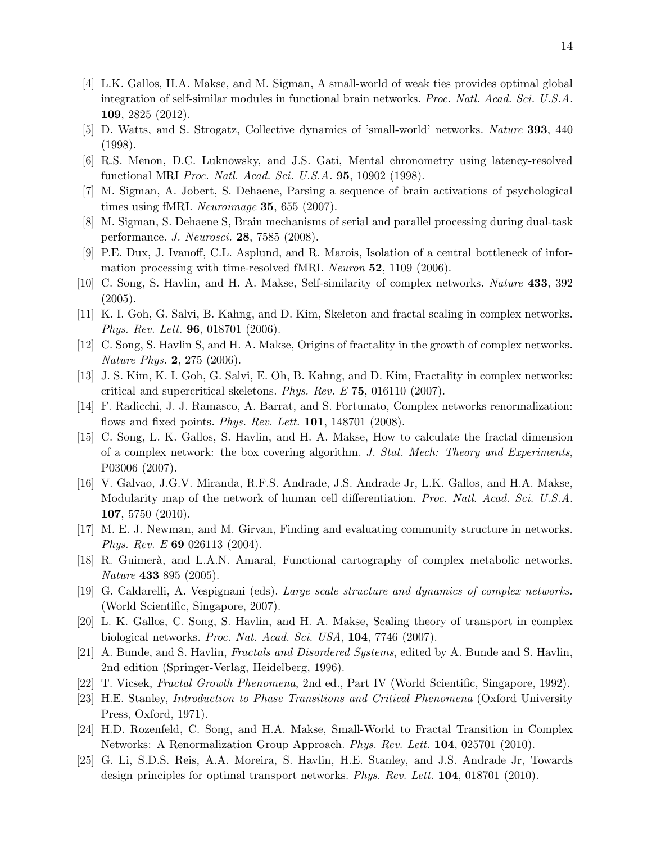- <span id="page-13-0"></span>[4] L.K. Gallos, H.A. Makse, and M. Sigman, A small-world of weak ties provides optimal global integration of self-similar modules in functional brain networks. *Proc. Natl. Acad. Sci. U.S.A.* 109, 2825 (2012).
- <span id="page-13-1"></span>[5] D. Watts, and S. Strogatz, Collective dynamics of 'small-world' networks. *Nature* 393, 440 (1998).
- <span id="page-13-2"></span>[6] R.S. Menon, D.C. Luknowsky, and J.S. Gati, Mental chronometry using latency-resolved functional MRI *Proc. Natl. Acad. Sci. U.S.A.* 95, 10902 (1998).
- <span id="page-13-3"></span>[7] M. Sigman, A. Jobert, S. Dehaene, Parsing a sequence of brain activations of psychological times using fMRI. *Neuroimage* 35, 655 (2007).
- <span id="page-13-4"></span>[8] M. Sigman, S. Dehaene S, Brain mechanisms of serial and parallel processing during dual-task performance. *J. Neurosci.* 28, 7585 (2008).
- <span id="page-13-5"></span>[9] P.E. Dux, J. Ivanoff, C.L. Asplund, and R. Marois, Isolation of a central bottleneck of information processing with time-resolved fMRI. *Neuron* 52, 1109 (2006).
- <span id="page-13-6"></span>[10] C. Song, S. Havlin, and H. A. Makse, Self-similarity of complex networks. *Nature* 433, 392 (2005).
- [11] K. I. Goh, G. Salvi, B. Kahng, and D. Kim, Skeleton and fractal scaling in complex networks. *Phys. Rev. Lett.* 96, 018701 (2006).
- [12] C. Song, S. Havlin S, and H. A. Makse, Origins of fractality in the growth of complex networks. *Nature Phys.* 2, 275 (2006).
- [13] J. S. Kim, K. I. Goh, G. Salvi, E. Oh, B. Kahng, and D. Kim, Fractality in complex networks: critical and supercritical skeletons. *Phys. Rev. E* 75, 016110 (2007).
- <span id="page-13-7"></span>[14] F. Radicchi, J. J. Ramasco, A. Barrat, and S. Fortunato, Complex networks renormalization: flows and fixed points. *Phys. Rev. Lett.* 101, 148701 (2008).
- <span id="page-13-8"></span>[15] C. Song, L. K. Gallos, S. Havlin, and H. A. Makse, How to calculate the fractal dimension of a complex network: the box covering algorithm. *J. Stat. Mech: Theory and Experiments*, P03006 (2007).
- <span id="page-13-9"></span>[16] V. Galvao, J.G.V. Miranda, R.F.S. Andrade, J.S. Andrade Jr, L.K. Gallos, and H.A. Makse, Modularity map of the network of human cell differentiation. *Proc. Natl. Acad. Sci. U.S.A.* 107, 5750 (2010).
- <span id="page-13-10"></span>[17] M. E. J. Newman, and M. Girvan, Finding and evaluating community structure in networks. *Phys. Rev. E* 69 026113 (2004).
- [18] R. Guimerà, and L.A.N. Amaral, Functional cartography of complex metabolic networks. *Nature* 433 895 (2005).
- [19] G. Caldarelli, A. Vespignani (eds). *Large scale structure and dynamics of complex networks.* (World Scientific, Singapore, 2007).
- <span id="page-13-11"></span>[20] L. K. Gallos, C. Song, S. Havlin, and H. A. Makse, Scaling theory of transport in complex biological networks. *Proc. Nat. Acad. Sci. USA*, 104, 7746 (2007).
- <span id="page-13-12"></span>[21] A. Bunde, and S. Havlin, *Fractals and Disordered Systems*, edited by A. Bunde and S. Havlin, 2nd edition (Springer-Verlag, Heidelberg, 1996).
- <span id="page-13-13"></span>[22] T. Vicsek, *Fractal Growth Phenomena*, 2nd ed., Part IV (World Scientific, Singapore, 1992).
- <span id="page-13-14"></span>[23] H.E. Stanley, *Introduction to Phase Transitions and Critical Phenomena* (Oxford University Press, Oxford, 1971).
- <span id="page-13-15"></span>[24] H.D. Rozenfeld, C. Song, and H.A. Makse, Small-World to Fractal Transition in Complex Networks: A Renormalization Group Approach. *Phys. Rev. Lett.* 104, 025701 (2010).
- <span id="page-13-16"></span>[25] G. Li, S.D.S. Reis, A.A. Moreira, S. Havlin, H.E. Stanley, and J.S. Andrade Jr, Towards design principles for optimal transport networks. *Phys. Rev. Lett.* 104, 018701 (2010).